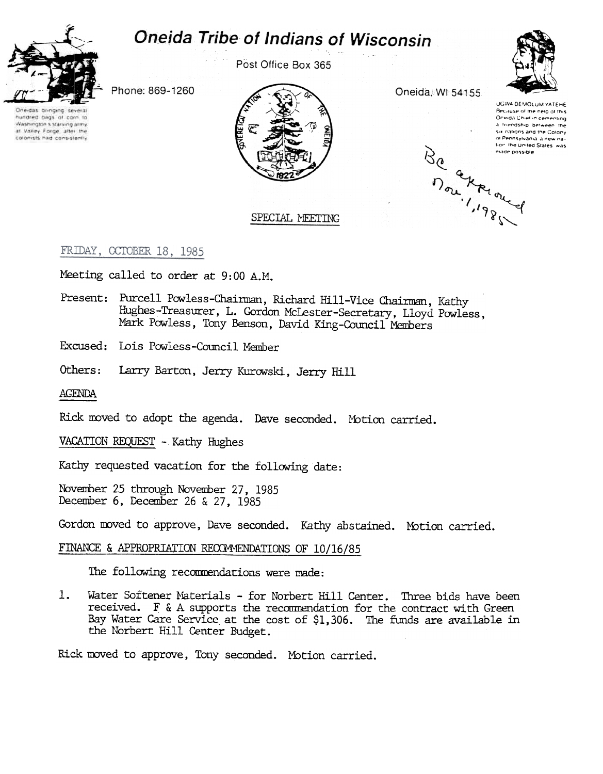# **Oneida Tribe of Indians of Wisconsin**



Post Office Box 365



Phone: 869-1260

One-das bringing several huddred bags of corn to Washington's starving army: at Valley Forge, after the colonists had consistently

Oneida, WI 54155

UGWA DEMOLUM YATEHE Because of the neip of this Oneida Chief in cementing a friendship between the Six nations and the Colony of Pennsylvania, a new na-Be a windows fior: the United States was made possible

## SPECIAL MEETING

## FRIDAY, CCTOBER 18, 1985

Meeting called to order at 9:00 A.M.

- Present: Purcell Powless-Chairman, Richard Hill-Vice Chairman, Kathy HUghes-Treasurer, L. Gordon McLester-Secretary, Lloyd Powless, Mark Powless, Tony Benson, David King-Council Members
- Excused: Lois Powless-Council Member
- Others: Larry Barton, Jerry Kurowski, Jerry Hill

AGENDA

Rick moved to adopt the agenda. Dave seconded. Motion carried.

VACATION REQUEST - Kathy Hughes

Kathy requested vacation for the following date:

November 25 through November 27, 1985 December 6, December 26 & 27, 1985

Gordon moved to approve, Dave seconded. Kathy abstained. Motion carried.

## FINANCE & APPROPRIATION RECOMMENDATIONS OF 10/16/85

The following recommendations were made:

1. Water Softener Materials - for Norbert Hill Center. Three bids have been received.  $F \& A$  supports the recommendation for the contract with Green Bay Water Care Service at the cost of \$1,306. The funds are available in the Norbert Hill Center Budget.

Rick moved to approve, Tony seconded. Motion carried.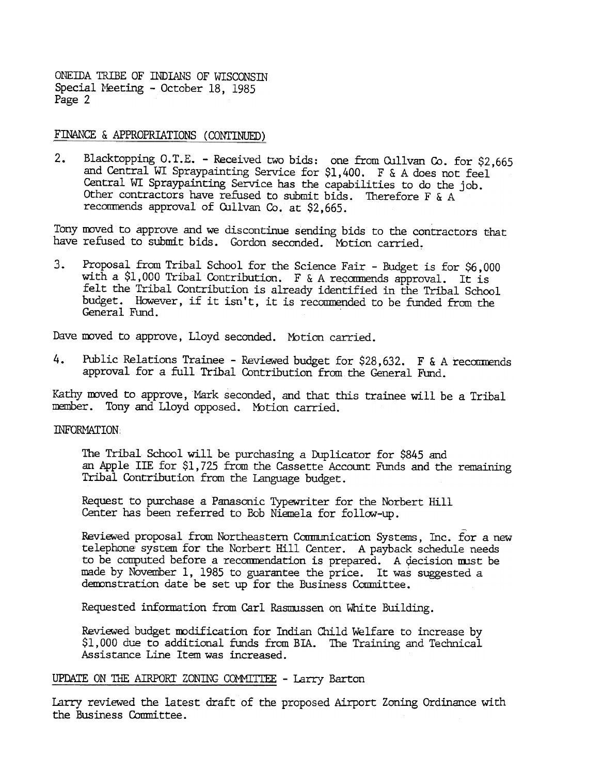#### FINANCE & APPROPRIATIONS (CONTINUED)

Blacktopping O.T.E. - Received two bids: one from Cullvan Co. for \$2,665  $2.$ and Central WI Spraypainting Service for \$1,400. F & A does not feel Central WI Spraypainting Service has the capabilities to do the job. Other contractors have refused to submit bids. Therefore F & A recommends approval of Cullvan Co. at \$2,665.

Tony moved to approve and we discontinue sending bids to the contractors that have refused to submit bids. Gordon seconded. Motion carried.

3. Proposal from Tribal School for the Science Fair - Budget is for 56,000<br>of the Science Fair -Budget is for the Science Fair - for the Tribal Contribution is already identified in the Tribal School<br>budget. However, if i Proposal from Tribal School for the Science Fair - Budget is for \$6,000 with a \$1,000 Tribal Contribution. F & A recommends approval. It is felt the Tribal Contribution is already identified in the Tribal School budget. However, if it isn't, it is recommended to be funded from the General Fund.

Dave moved to approve, Lloyd seconded. Motion carried.

Public Relations Trainee - Reviewed budget for \$28,632. F & A recommends approval for a full Tribal Contribution from the General Fund.

Kathy moved to approve, Mark seconded, and that this trainee will be a Tribal member. Tony and Lloyd opposed. Motion carried.

#### INFORMATION:

The Tribal School will be purchasing a Duplicator for \$845 and an Apple lIE for \$1,725 from the Cassette Account Funds and the remaining Tribal Contribution from the Language budget.

Request to purchase a Panasonic Typewriter for the Norbert Hill Center has been referred to Bob Niemela for fallaw-up.

4. Public Relations Trainee - Reviewed budget for 328,632. F & A recommends approval for a full Tribal Contribution from the General Rund.<br>Kathy moved to approve, Mark seconded, and that this trainee will be a Tribal manke Reviewed proposal from Northeastern Communication Systems, Inc. for a new telephone' system for the Norbert Hill Center. A payback schedule needs to be computed before a recommendation is prepared. A decision must be made by November I, 1985 to guarantee the price. It was suggested a demonstration date be set up for the Business Committee.

Requested information from Carl Rasnnssen on White Building.

Reviewed budget modification for Indian Child Welfare to increase by \$1, 000 due to additional funds from BIA. The Training and Technical Assistance Line Item was increased.

#### UPDATE ON THE AIRPORT ZONING COMMITTEE - Larry Barton

Larry reviewed the latest draft of the proposed Airport Zoning Ordinance with the Business Conmittee.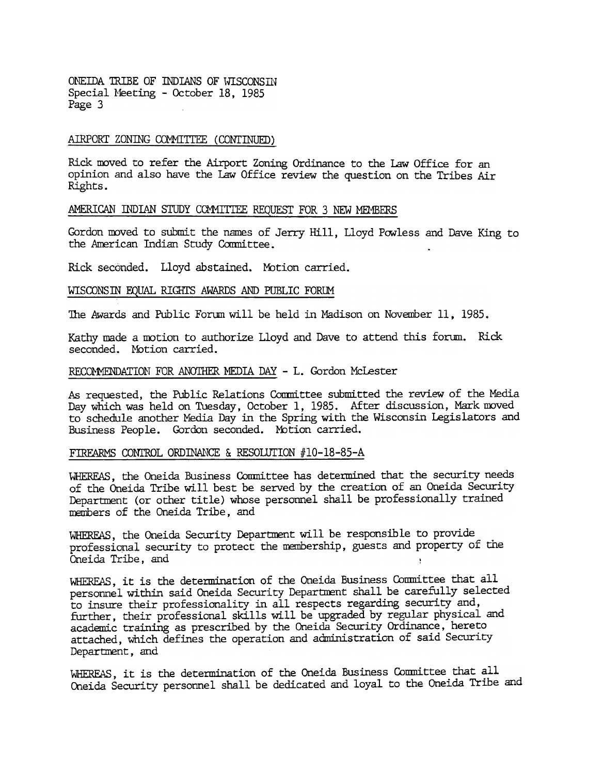### AIRPORT ZONING COMMITTEE (CONTINUED)

Rick moved to refer the Airport Zoning Ordinance to the Law Office for an opinion and also have the Law Office review the question on the Tribes Air Rights.

#### AMERICAN INDIAN STUDY COMMITTEE REQUEST FOR 3 NEW MEMBERS

Gordon moved to submit the names of Jerry Hill, Lloyd Powless and Dave King to the American Indian Study Committee.

Rick seconded. Lloyd abstained. Motion carried.

#### WISCONSIN EQUAL RIGHTS AWARDS AND PUBLIC FORLM

The Awards and Public Forum will be held in Madison on November 11, 1985.

Kathy made a motion to authorize Lloyd and Dave to attend this forum. Rick seconded. Motion carried.

#### RECOMMENDATION FOR ANOTHER MEDIA DAY - L. Gordon McLester

As requested, the Public Relations Committee submitted the review of the Media Day which was held on Tuesday, October 1, 1985. After discussion, Mark moved to schedule another Media Day in the Spring with the Wisconsin Legislators and Business People. Gordon seconded. Motion carried.

## FIREARMS CONTROL ORDINANCE & RESOLUTION  $#10-18-85-A$

WHEREAS, the Oneida Business Committee has determined that the security needs of the Oneida Tribe will best be served by the creation of an Oneida Security Department (or other title) whose personnel shall be professionally trained members of the Oneida Tribe, and

WHEREAS, the Oneida Security Department will be responsible to provide professional security to protect the membership, guests and property of the Oneida Tribe, and !

WHEREAS, it is the determination of the Oneida Business Comnittee that all personnel widhin said Oneida Security Department shall be carefully selected to insure their professionality in all respects regarding security and, further, their professional skills will be upgraded by regular physical and academic training as prescribed by the Oneida Security Ordinance, hereto attadhed, Which defines the operation and administration of said Security Department, and

WHEREAS, it is the determination of the Oneida Business Committee that all Oneida Security personnel shall be dedicated and loyal to the Oneida Tribe and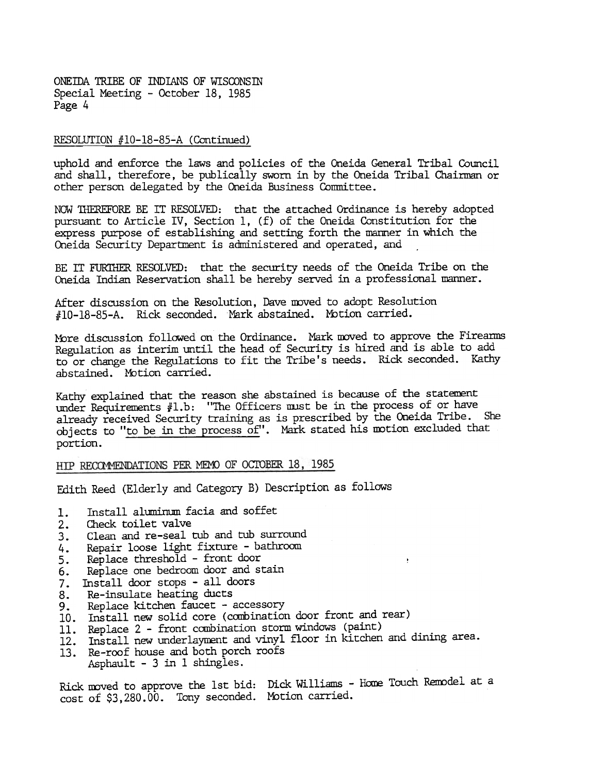#### RESOLUTION #10-18-85-A (Continued)

uphold and enforce the laws and policies of the Oneida General Tribal Council and shall, therefore, be publically sworn in by the Oneida Tribal Chairman or other person delegated by the Oneida Business Conmittee.

NOW 'lliEREFORE BE IT RESOLVED: that the attached Ordinance is hereby adopted pursuant to Article IV, Section 1, (f) of the Oneida Constitution for the express purpose of establishing and setting forth the manner in which the Oneida Security Department is administered and operated, and

BE IT FUR1HER RESOLVED: that the security needs of the Oneida Tribe on the Oneida Indian Reservation shall be hereby served in a professional manner.

After discussion on the Resolution, Dave mwed to adopt Resolution HID-18-8S-A. Ridk seconded. Mark abstained. Mbtion carried.

More discussion followed on the Ordinance. Mark moved to approve the Fireanns Regulation as interim until the head of Security is hired and is able to add to or change the Regulations to fit the Tribe's needs. Rick seconded. Kathy abstained. Motion carried.

Kathy explained that the reason she abstained is because of the statement under Requirements #1.b: "The Officers must be in the process of or have already received Security training as is prescribed by the Oneida Tribe. She chiects to "to be in the process of". Mark stated his motion excluded that portion.

#### HIP RECOMMENDATIONS PER MEMO OF OCTOBER 18, 1985

Edith Reed (Elderly and Category B) Description as follows

- 1. Install aluminum facia and soffet
- 2. Check toilet valve
- 3. Clean and re-seal tub and tub surround
- 4. Repair loose light fixture -bathroom
- 5. Replace threshold - front door
- 6. Replace one bedroom door and stain
- 7. Install door stops -all doors
- 8. Re-insulate heating ducts
- 9. Replace kitchen faucet - accessory
- 10. Install new solid core (combination door front and rear
- 11. Replace 2 front combination storm windows (paint
- 11. Reprice 2 Trone construction vinyl floor in kitchen and dining area.
- 13. Re-roof house and both porch roof Asphault -3 in 1 shingles.

Rick moved to approve the 1st bid: Dick Williams - Home Touch Remodel at a cost of \$3,280.00. Tony seconded. Motion carried